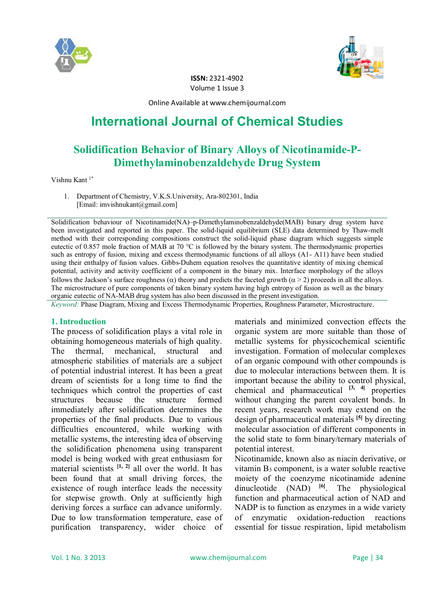



**ISSN:** 2321-4902 Volume 1 Issue 3

Online Available at www.chemijournal.com

# **International Journal of Chemical Studies**

# **Solidification Behavior of Binary Alloys of Nicotinamide-P-Dimethylaminobenzaldehyde Drug System**

Vishnu Kant 1\*

1. Department of Chemistry, V.K.S.University, Ara-802301, India [Email: imvishnukant@gmail.com]

Solidification behaviour of Nicotinamide(NA)–p-Dimethylaminobenzaldehyde(MAB) binary drug system have been investigated and reported in this paper. The solid-liquid equilibrium (SLE) data determined by Thaw-melt method with their corresponding compositions construct the solid-liquid phase diagram which suggests simple eutectic of 0.857 mole fraction of MAB at 70 °C is followed by the binary system. The thermodynamic properties such as entropy of fusion, mixing and excess thermodynamic functions of all alloys (A1- A11) have been studied using their enthalpy of fusion values. Gibbs-Duhem equation resolves the quantitative identity of mixing chemical potential, activity and activity coefficient of a component in the binary mix. Interface morphology of the alloys follows the Jackson's surface roughness ( $\alpha$ ) theory and predicts the faceted growth ( $\alpha$  > 2) proceeds in all the alloys. The microstructure of pure components of taken binary system having high entropy of fusion as well as the binary organic eutectic of NA-MAB drug system has also been discussed in the present investigation.

*Keyword:* Phase Diagram, Mixing and Excess Thermodynamic Properties, Roughness Parameter, Microstructure.

## **1. Introduction**

The process of solidification plays a vital role in obtaining homogeneous materials of high quality. The thermal, mechanical, structural and atmospheric stabilities of materials are a subject of potential industrial interest. It has been a great dream of scientists for a long time to find the techniques which control the properties of cast structures because the structure formed immediately after solidification determines the properties of the final products. Due to various difficulties encountered, while working with metallic systems, the interesting idea of observing the solidification phenomena using transparent model is being worked with great enthusiasm for material scientists <sup>[1, 2]</sup> all over the world. It has been found that at small driving forces, the existence of rough interface leads the necessity for stepwise growth. Only at sufficiently high deriving forces a surface can advance uniformly. Due to low transformation temperature, ease of purification transparency, wider choice of materials and minimized convection effects the organic system are more suitable than those of metallic systems for physicochemical scientific investigation. Formation of molecular complexes of an organic compound with other compounds is due to molecular interactions between them. It is important because the ability to control physical, chemical and pharmaceutical **[3, 4]** properties without changing the parent covalent bonds. In recent years, research work may extend on the design of pharmaceutical materials **[5]** by directing molecular association of different components in the solid state to form binary/ternary materials of potential interest.

Nicotinamide, known also as niacin derivative, or vitamin  $B_3$  component, is a water soluble reactive moiety of the coenzyme nicotinamide adenine dinucleotide (NAD) **[6]**. The physiological function and pharmaceutical action of NAD and NADP is to function as enzymes in a wide variety of enzymatic oxidation-reduction reactions essential for tissue respiration, lipid metabolism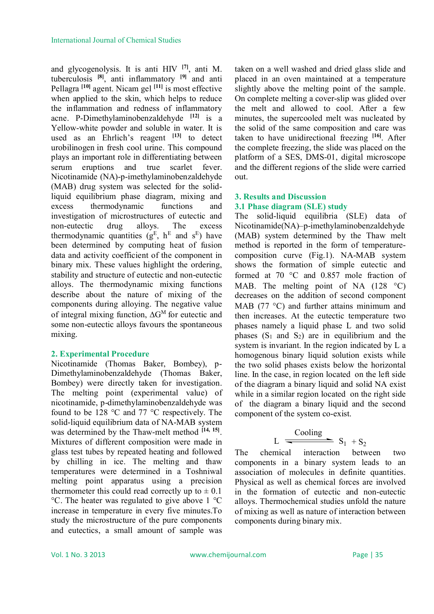and glycogenolysis. It is anti HIV **[7]**, anti M. tuberculosis  $[8]$ , anti inflammatory  $[9]$  and anti Pellagra **[10]** agent. Nicam gel **[11]** is most effective when applied to the skin, which helps to reduce the inflammation and redness of inflammatory acne. P-Dimethylaminobenzaldehyde **[12]** is a Yellow-white powder and soluble in water. It is used as an Ehrlich's reagent **[13]** to detect urobilinogen in fresh cool urine. This compound plays an important role in differentiating between serum eruptions and true scarlet fever. Nicotinamide (NA)-p-imethylaminobenzaldehyde (MAB) drug system was selected for the solidliquid equilibrium phase diagram, mixing and excess thermodynamic functions and investigation of microstructures of eutectic and non-eutectic drug alloys. The excess thermodynamic quantities  $(g^E, h^E \text{ and } s^E)$  have been determined by computing heat of fusion data and activity coefficient of the component in binary mix. These values highlight the ordering, stability and structure of eutectic and non-eutectic alloys. The thermodynamic mixing functions describe about the nature of mixing of the components during alloying. The negative value of integral mixing function,  $\Delta G^M$  for eutectic and some non-eutectic alloys favours the spontaneous mixing.

## **2. Experimental Procedure**

Nicotinamide (Thomas Baker, Bombey), p-Dimethylaminobenzaldehyde (Thomas Baker, Bombey) were directly taken for investigation. The melting point (experimental value) of nicotinamide, p-dimethylaminobenzaldehyde was found to be 128 °C and 77 °C respectively. The solid-liquid equilibrium data of NA-MAB system was determined by the Thaw-melt method **[14, 15]** . Mixtures of different composition were made in glass test tubes by repeated heating and followed by chilling in ice. The melting and thaw temperatures were determined in a Toshniwal melting point apparatus using a precision thermometer this could read correctly up to  $\pm$  0.1 °C. The heater was regulated to give above 1 °C increase in temperature in every five minutes.To study the microstructure of the pure components and eutectics, a small amount of sample was

taken on a well washed and dried glass slide and placed in an oven maintained at a temperature slightly above the melting point of the sample. On complete melting a cover-slip was glided over the melt and allowed to cool. After a few minutes, the supercooled melt was nucleated by the solid of the same composition and care was taken to have unidirectional freezing **[16]**. After the complete freezing, the slide was placed on the platform of a SES, DMS-01, digital microscope and the different regions of the slide were carried out.

# **3. Results and Discussion 3.1 Phase diagram (SLE) study**

The solid-liquid equilibria (SLE) data of Nicotinamide(NA)–p-imethylaminobenzaldehyde (MAB) system determined by the Thaw melt method is reported in the form of temperaturecomposition curve (Fig.1). NA-MAB system shows the formation of simple eutectic and formed at 70  $\degree$ C and 0.857 mole fraction of MAB. The melting point of NA  $(128 \text{ °C})$ decreases on the addition of second component MAB (77 $\degree$ C) and further attains minimum and then increases. At the eutectic temperature two phases namely a liquid phase L and two solid phases  $(S_1$  and  $S_2)$  are in equilibrium and the system is invariant. In the region indicated by L a homogenous binary liquid solution exists while the two solid phases exists below the horizontal line. In the case, in region located on the left side of the diagram a binary liquid and solid NA exist while in a similar region located on the right side of the diagram a binary liquid and the second component of the system co-exist.

$$
L \xrightarrow{\text{Cooling}} S_1 + S_2
$$

The chemical interaction between two components in a binary system leads to an association of molecules in definite quantities. Physical as well as chemical forces are involved in the formation of eutectic and non-eutectic alloys. Thermochemical studies unfold the nature of mixing as well as nature of interaction between components during binary mix.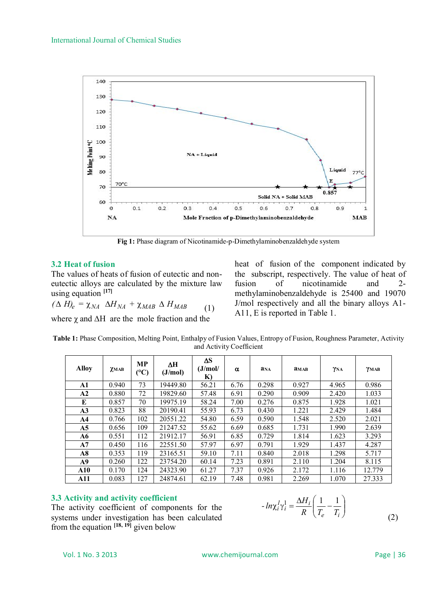

**Fig 1:** Phase diagram of Nicotinamide-p-Dimethylaminobenzaldehyde system

#### **3.2 Heat of fusion**

The values of heats of fusion of eutectic and noneutectic alloys are calculated by the mixture law using equation **[17]**

|  | $\Delta H$ <sub>e</sub> = $\chi_{NA} \Delta H_{NA} + \chi_{MAB} \Delta H_{MAB}$ (1) |  |
|--|-------------------------------------------------------------------------------------|--|
|--|-------------------------------------------------------------------------------------|--|

where  $\chi$  and  $\Delta H$  are the mole fraction and the

heat of fusion of the component indicated by the subscript, respectively. The value of heat of fusion of nicotinamide and 2 methylaminobenzaldehyde is 25400 and 19070 J/mol respectively and all the binary alloys A1- A11, E is reported in Table 1.

**Table 1:** Phase Composition, Melting Point, Enthalpy of Fusion Values, Entropy of Fusion, Roughness Parameter, Activity and Activity Coefficient

| <b>Alloy</b>   | $\chi$ <sub>MAB</sub> | <b>MP</b><br>$\rm ^{(o}C)$ | ΔH<br>(J/mol) | $\Delta S$<br>(J/mol/<br>K) | α    | <b>a</b> <sub>NA</sub> | амав  | YNA   | YMAB   |
|----------------|-----------------------|----------------------------|---------------|-----------------------------|------|------------------------|-------|-------|--------|
| $\mathbf{A1}$  | 0.940                 | 73                         | 19449.80      | 56.21                       | 6.76 | 0.298                  | 0.927 | 4.965 | 0.986  |
| A2             | 0.880                 | 72                         | 19829.60      | 57.48                       | 6.91 | 0.290                  | 0.909 | 2.420 | 1.033  |
| E              | 0.857                 | 70                         | 19975.19      | 58.24                       | 7.00 | 0.276                  | 0.875 | 1.928 | 1.021  |
| A <sub>3</sub> | 0.823                 | 88                         | 20190.41      | 55.93                       | 6.73 | 0.430                  | 1.221 | 2.429 | 1.484  |
| A <sub>4</sub> | 0.766                 | 102                        | 20551.22      | 54.80                       | 6.59 | 0.590                  | 1.548 | 2.520 | 2.021  |
| A <sub>5</sub> | 0.656                 | 109                        | 21247.52      | 55.62                       | 6.69 | 0.685                  | 1.731 | 1.990 | 2.639  |
| A6             | 0.551                 | 112                        | 21912.17      | 56.91                       | 6.85 | 0.729                  | 1.814 | 1.623 | 3.293  |
| A7             | 0.450                 | 116                        | 22551.50      | 57.97                       | 6.97 | 0.791                  | 1.929 | 1.437 | 4.287  |
| A8             | 0.353                 | 119                        | 23165.51      | 59.10                       | 7.11 | 0.840                  | 2.018 | 1.298 | 5.717  |
| A9             | 0.260                 | 122                        | 23754.20      | 60.14                       | 7.23 | 0.891                  | 2.110 | 1.204 | 8.115  |
| A10            | 0.170                 | 124                        | 24323.90      | 61.27                       | 7.37 | 0.926                  | 2.172 | 1.116 | 12.779 |
| A11            | 0.083                 | 127                        | 24874.61      | 62.19                       | 7.48 | 0.981                  | 2.269 | 1.070 | 27.333 |

## **3.3 Activity and activity coefficient**

The activity coefficient of components for the systems under investigation has been calculated from the equation  $[18, 19]$  given below

$$
-ln\chi_i^l\gamma_i^1 = \frac{\Delta H_i}{R}\left(\frac{1}{T_e} - \frac{1}{T_i}\right)
$$

(2)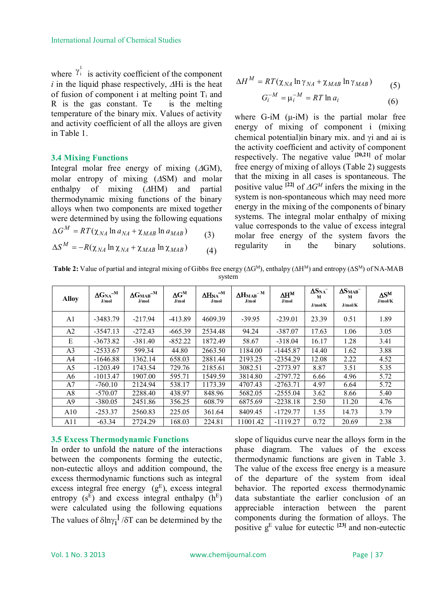where  $\gamma_i^1$  $\gamma_i^1$  is activity coefficient of the component  $i$  in the liquid phase respectively,  $\Delta H$  is the heat of fusion of component i at melting point  $T_i$  and R is the gas constant. Te is the melting temperature of the binary mix. Values of activity and activity coefficient of all the alloys are given in Table 1.

#### **3.4 Mixing Functions**

Integral molar free energy of mixing  $(\Delta GM)$ , molar entropy of mixing  $(ASM)$  and molar enthalpy of mixing  $(AHM)$  and partial thermodynamic mixing functions of the binary alloys when two components are mixed together were determined by using the following equations

$$
\Delta G^M = RT(\chi_{NA} \ln a_{NA} + \chi_{MAB} \ln a_{MAB})
$$
 (3)

$$
\Delta S^M = -R(\chi_{NA} \ln \chi_{NA} + \chi_{MAB} \ln \chi_{MAB}) \tag{4}
$$

$$
\Delta H^M = RT(\chi_{NA} \ln \gamma_{NA} + \chi_{MAB} \ln \gamma_{MAB})
$$
 (5)

$$
G_i^{-M} = \mu_i^{-M} = RT \ln a_i \tag{6}
$$

where G-iM  $(\mu$ -iM) is the partial molar free energy of mixing of component i (mixing chemical potential) in binary mix. and  $\gamma$  and ai is the activity coefficient and activity of component respectively. The negative value **[20,21]** of molar free energy of mixing of alloys (Table 2) suggests that the mixing in all cases is spontaneous. The positive value  $[22]$  of  $\Delta G^M$  infers the mixing in the system is non-spontaneous which may need more energy in the mixing of the components of binary systems. The integral molar enthalpy of mixing value corresponds to the value of excess integral molar free energy of the system favors the regularity in the binary solutions.

**Table 2:** Value of partial and integral mixing of Gibbs free energy ( $\Delta G^{M}$ ), enthalpy ( $\Delta H^{M}$ ) and entropy ( $\Delta S^{M}$ ) of NA-MAB system

| <b>Alloy</b> | $\Delta G$ NA <sup>-M</sup><br>J/mol | $\Delta G$ MAB <sup>-M</sup><br>J/mol | $\Delta G^M$<br>J/mol | $\Delta H_{NA}^{-M}$<br>J/mol | $\Delta H$ мав <sup>-М</sup><br>J/mol | $\Delta H^M$<br>J/mol | $\Delta S_{NA}$<br>M<br>J/mol/K | $\Delta S_{MAB}^-$<br>M<br>J/mol/K | $\Delta S^M$<br>J/mol/K |
|--------------|--------------------------------------|---------------------------------------|-----------------------|-------------------------------|---------------------------------------|-----------------------|---------------------------------|------------------------------------|-------------------------|
| A1           | $-3483.79$                           | $-217.94$                             | $-413.89$             | 4609.39                       | $-39.95$                              | $-239.01$             | 23.39                           | 0.51                               | 1.89                    |
| A2           | $-3547.13$                           | $-272.43$                             | $-665.39$             | 2534.48                       | 94.24                                 | $-387.07$             | 17.63                           | 1.06                               | 3.05                    |
| Ε            | $-3673.82$                           | $-381.40$                             | $-852.22$             | 1872.49                       | 58.67                                 | $-318.04$             | 16.17                           | 1.28                               | 3.41                    |
| A3           | $-2533.67$                           | 599.34                                | 44.80                 | 2663.50                       | 1184.00                               | $-1445.87$            | 14.40                           | 1.62                               | 3.88                    |
| A4           | $-1646.88$                           | 1362.14                               | 658.03                | 2881.44                       | 2193.25                               | $-2354.29$            | 12.08                           | 2.22                               | 4.52                    |
| A5           | $-1203.49$                           | 1743.54                               | 729.76                | 2185.61                       | 3082.51                               | $-2773.97$            | 8.87                            | 3.51                               | 5.35                    |
| A6           | $-1013.47$                           | 1907.00                               | 595.71                | 1549.59                       | 3814.80                               | $-2797.72$            | 6.66                            | 4.96                               | 5.72                    |
| A7           | $-760.10$                            | 2124.94                               | 538.17                | 1173.39                       | 4707.43                               | $-2763.71$            | 4.97                            | 6.64                               | 5.72                    |
| A8           | $-570.07$                            | 2288.40                               | 438.97                | 848.96                        | 5682.05                               | $-2555.04$            | 3.62                            | 8.66                               | 5.40                    |
| A9           | $-380.05$                            | 2451.86                               | 356.25                | 608.79                        | 6875.69                               | $-2238.18$            | 2.50                            | 11.20                              | 4.76                    |
| A10          | $-253.37$                            | 2560.83                               | 225.05                | 361.64                        | 8409.45                               | $-1729.77$            | 1.55                            | 14.73                              | 3.79                    |
| A11          | $-63.34$                             | 2724.29                               | 168.03                | 224.81                        | 11001.42                              | $-1119.27$            | 0.72                            | 20.69                              | 2.38                    |

## **3.5 Excess Thermodynamic Functions**

In order to unfold the nature of the interactions between the components forming the eutectic, non-eutectic alloys and addition compound, the excess thermodynamic functions such as integral excess integral free energy  $(g<sup>E</sup>)$ , excess integral entropy  $(s^E)$  and excess integral enthalpy  $(h^E)$ were calculated using the following equations The values of  $\delta \ln \gamma_1^{\text{1}} / \delta T$  can be determined by the slope of liquidus curve near the alloys form in the phase diagram. The values of the excess thermodynamic functions are given in Table 3. The value of the excess free energy is a measure of the departure of the system from ideal behavior. The reported excess thermodynamic data substantiate the earlier conclusion of an appreciable interaction between the parent components during the formation of alloys. The positive  $g<sup>E</sup>$  value for eutectic  $[23]$  and non-eutectic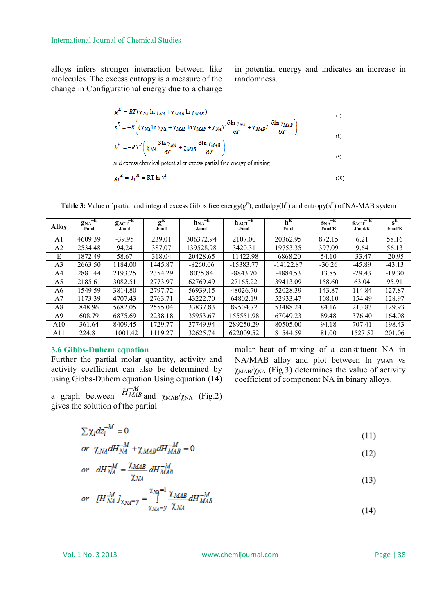alloys infers stronger interaction between like molecules. The excess entropy is a measure of the change in Configurational energy due to a change

in potential energy and indicates an increase in randomness.

$$
g^{E} = RT(\chi_{NA} \ln \gamma_{NA} + \chi_{MAB} \ln \gamma_{MAB})
$$
\n
$$
s^{E} = -R\left((\chi_{NA} \ln \gamma_{NA} + \chi_{MAB} \ln \gamma_{MAB} + \chi_{NA} T \frac{\delta \ln \gamma_{NA}}{\delta T} + \chi_{MAB} T \frac{\delta \ln \gamma_{MAB}}{\delta T}\right)
$$
\n
$$
h^{E} = -RT^{2}\left(\chi_{NA} \frac{\delta \ln \gamma_{NA}}{\delta T} + \chi_{MAB} \frac{\delta \ln \gamma_{MAB}}{\delta T}\right)
$$
\n(8)

and excess chemical potential or excess partial free energy of mixing

$$
\mathbf{g}_i^{-E} = \mu_i^{-M} = RT \ln \gamma_i^1 \tag{10}
$$

**Table 3:** Value of partial and integral excess Gibbs free energy( $g^E$ ), enthalpy( $h^E$ ) and entropy( $s^E$ ) of NA-MAB system

| <b>Alloy</b>   | $g_{NA}^{-E}$<br>J/mol | $g_{\text{ACT}}$<br>J/mol | $g^{E}$<br>J/mol | $h_{NA}$ <sup>-E</sup><br>J/mol | $h_{\text{ACT}}$ <sup>-E</sup><br>J/mol | $h^E$<br>J/mol | $S_{NA}^{-E}$<br>J/mol/K | $S_{\rm ACT}$ $\overline{E}$<br>J/mol/K | $s^E$<br>J/mol/K |
|----------------|------------------------|---------------------------|------------------|---------------------------------|-----------------------------------------|----------------|--------------------------|-----------------------------------------|------------------|
| A1             | 4609.39                | $-39.95$                  | 239.01           | 306372.94                       | 2107.00                                 | 20362.95       | 872.15                   | 6.21                                    | 58.16            |
| A2             | 2534.48                | 94.24                     | 387.07           | 139528.98                       | 3420.31                                 | 19753.35       | 397.09                   | 9.64                                    | 56.13            |
| E              | 1872.49                | 58.67                     | 318.04           | 20428.65                        | $-11422.98$                             | $-6868.20$     | 54.10                    | $-33.47$                                | $-20.95$         |
| A <sub>3</sub> | 2663.50                | 1184.00                   | 1445.87          | $-8260.06$                      | $-15383.77$                             | $-14122.87$    | $-30.26$                 | $-45.89$                                | $-43.13$         |
| A4             | 2881.44                | 2193.25                   | 2354.29          | 8075.84                         | $-8843.70$                              | $-4884.53$     | 13.85                    | $-29.43$                                | $-19.30$         |
| A5             | 2185.61                | 3082.51                   | 2773.97          | 62769.49                        | 27165.22                                | 39413.09       | 158.60                   | 63.04                                   | 95.91            |
| A6             | 1549.59                | 3814.80                   | 2797.72          | 56939.15                        | 48026.70                                | 52028.39       | 143.87                   | 114.84                                  | 127.87           |
| A <sub>7</sub> | 1173.39                | 4707.43                   | 2763.71          | 43222.70                        | 64802.19                                | 52933.47       | 108.10                   | 154.49                                  | 128.97           |
| A8             | 848.96                 | 5682.05                   | 2555.04          | 33837.83                        | 89504.72                                | 53488.24       | 84.16                    | 213.83                                  | 129.93           |
| A9             | 608.79                 | 6875.69                   | 2238.18          | 35953.67                        | 155551.98                               | 67049.23       | 89.48                    | 376.40                                  | 164.08           |
| A10            | 361.64                 | 8409.45                   | 1729.77          | 37749.94                        | 289250.29                               | 80505.00       | 94.18                    | 707.41                                  | 198.43           |
| A11            | 224.81                 | 11001.42                  | 1119.27          | 32625.74                        | 622009.52                               | 81544.59       | 81.00                    | 1527.52                                 | 201.06           |

#### **3.6 Gibbs-Duhem equation**

Further the partial molar quantity, activity and activity coefficient can also be determined by using Gibbs-Duhem equation Using equation (14)

molar heat of mixing of a constituent NA in  $NA/MAB$  alloy and plot between ln  $\gamma_{MAB}$  vs  $\chi$ MAB/ $\chi$ NA (Fig.3) determines the value of activity coefficient of component NA in binary alloys.

a graph between *<sup>M</sup> <sup>H</sup>MAB* and  $\chi_{\text{MAB}}/\chi_{\text{NA}}$  (Fig.2) gives the solution of the partial

$$
\sum \chi_i dz_i^{-M} = 0 \tag{11}
$$

or 
$$
\chi_{NA} dH_{N\tilde{A}} + \chi_{MAB} dH_{M\tilde{A}B} = 0
$$
 (12)

$$
or \quad dH_{NA}^{-M} = \frac{\Lambda MAB}{\chi_{NA}} \, dH_{MAB}^{-M} \tag{13}
$$

$$
or \quad \left[H_{NA}^{\mathcal{M}}\right]_{\gamma_{NA}=y} = \int_{\gamma_{NA}=y}^{\gamma_{NA}=1} \frac{\chi_{MAB}}{\chi_{NA}} dH_{MAB}^{-M}
$$
\n
$$
(14)
$$

Vol. 1 No. 3 2013 www.chemijournal.com Page | 38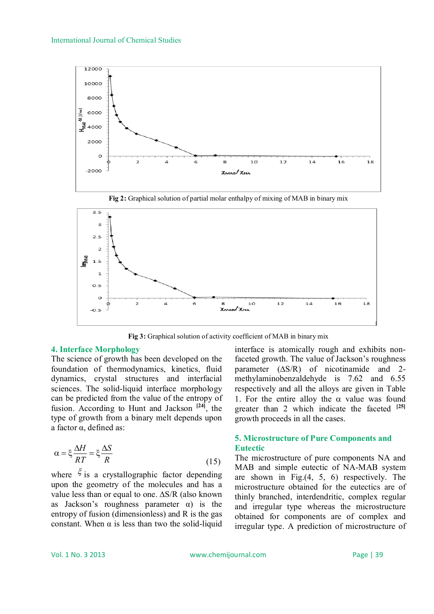





**Fig 3:** Graphical solution of activity coefficient of MAB in binary mix

## **4. Interface Morphology**

The science of growth has been developed on the foundation of thermodynamics, kinetics, fluid dynamics, crystal structures and interfacial sciences. The solid-liquid interface morphology can be predicted from the value of the entropy of fusion. According to Hunt and Jackson **[24]**, the type of growth from a binary melt depends upon a factor α, defined as:

$$
\alpha = \xi \frac{\Delta H}{RT} = \xi \frac{\Delta S}{R}
$$
 (15)

where  $\xi$  is a crystallographic factor depending upon the geometry of the molecules and has a value less than or equal to one. ∆S/R (also known as Jackson's roughness parameter  $\alpha$ ) is the entropy of fusion (dimensionless) and R is the gas constant. When  $\alpha$  is less than two the solid-liquid

interface is atomically rough and exhibits nonfaceted growth. The value of Jackson's roughness parameter (∆S/R) of nicotinamide and 2 methylaminobenzaldehyde is 7.62 and 6.55 respectively and all the alloys are given in Table 1. For the entire alloy the  $\alpha$  value was found greater than 2 which indicate the faceted **[25]** growth proceeds in all the cases.

# **5. Microstructure of Pure Components and Eutectic**

The microstructure of pure components NA and MAB and simple eutectic of NA-MAB system are shown in Fig.(4, 5, 6) respectively. The microstructure obtained for the eutectics are of thinly branched, interdendritic, complex regular and irregular type whereas the microstructure obtained for components are of complex and irregular type. A prediction of microstructure of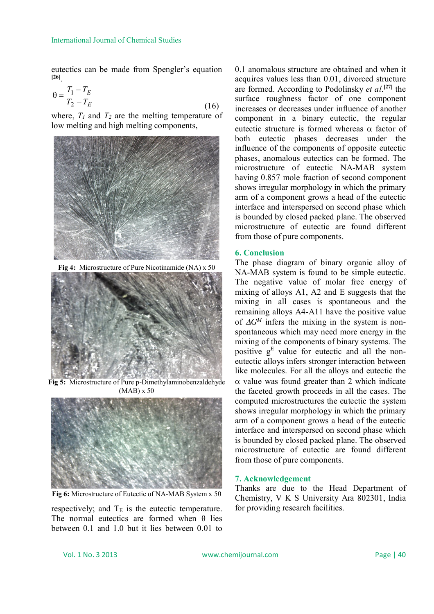eutectics can be made from Spengler's equation **[26]** .

$$
\theta = \frac{T_1 - T_E}{T_2 - T_E} \tag{16}
$$

where,  $T_I$  and  $T_2$  are the melting temperature of low melting and high melting components,



**Fig 4:** Microstructure of Pure Nicotinamide (NA) x 50



**Fig 5:** Microstructure of Pure p-Dimethylaminobenzaldehyde (MAB) x 50



**Fig 6:** Microstructure of Eutectic of NA-MAB System x 50

respectively; and  $T_E$  is the eutectic temperature. The normal eutectics are formed when  $\theta$  lies between 0.1 and 1.0 but it lies between 0.01 to 0.1 anomalous structure are obtained and when it acquires values less than 0.01, divorced structure are formed. According to Podolinsky *et al*. **[27]** the surface roughness factor of one component increases or decreases under influence of another component in a binary eutectic, the regular eutectic structure is formed whereas  $\alpha$  factor of both eutectic phases decreases under the influence of the components of opposite eutectic phases, anomalous eutectics can be formed. The microstructure of eutectic NA-MAB system having 0.857 mole fraction of second component shows irregular morphology in which the primary arm of a component grows a head of the eutectic interface and interspersed on second phase which is bounded by closed packed plane. The observed microstructure of eutectic are found different from those of pure components.

#### **6. Conclusion**

The phase diagram of binary organic alloy of NA-MAB system is found to be simple eutectic. The negative value of molar free energy of mixing of alloys A1, A2 and E suggests that the mixing in all cases is spontaneous and the remaining alloys A4-A11 have the positive value of  $\Delta G^M$  infers the mixing in the system is nonspontaneous which may need more energy in the mixing of the components of binary systems. The positive  $g<sup>E</sup>$  value for eutectic and all the noneutectic alloys infers stronger interaction between like molecules. For all the alloys and eutectic the  $\alpha$  value was found greater than 2 which indicate the faceted growth proceeds in all the cases. The computed microstructures the eutectic the system shows irregular morphology in which the primary arm of a component grows a head of the eutectic interface and interspersed on second phase which is bounded by closed packed plane. The observed microstructure of eutectic are found different from those of pure components.

#### **7. Acknowledgement**

Thanks are due to the Head Department of Chemistry, V K S University Ara 802301, India for providing research facilities.